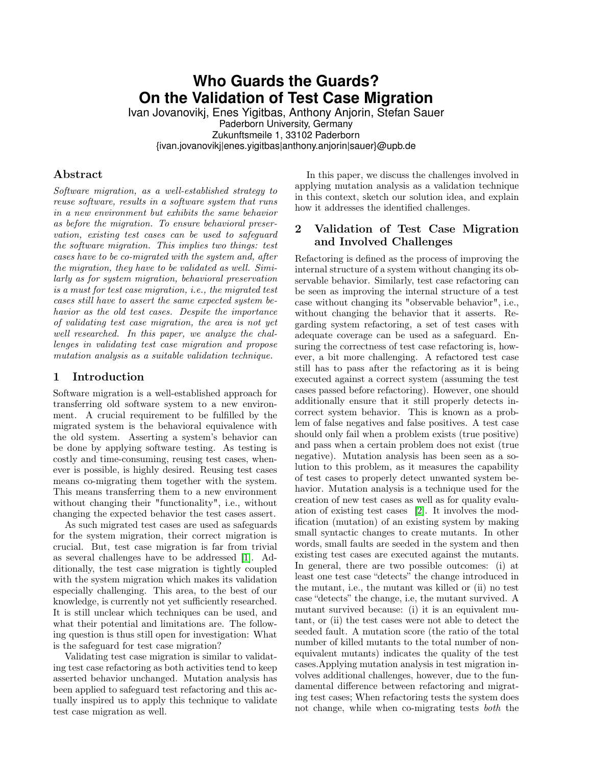# **Who Guards the Guards? On the Validation of Test Case Migration**

Ivan Jovanovikj, Enes Yigitbas, Anthony Anjorin, Stefan Sauer Paderborn University, Germany Zukunftsmeile 1, 33102 Paderborn {ivan.jovanovikj|enes.yigitbas|anthony.anjorin|sauer}@upb.de

## Abstract

Software migration, as a well-established strategy to reuse software, results in a software system that runs in a new environment but exhibits the same behavior as before the migration. To ensure behavioral preservation, existing test cases can be used to safeguard the software migration. This implies two things: test cases have to be co-migrated with the system and, after the migration, they have to be validated as well. Similarly as for system migration, behavioral preservation is a must for test case migration, i.e., the migrated test cases still have to assert the same expected system behavior as the old test cases. Despite the importance of validating test case migration, the area is not yet well researched. In this paper, we analyze the challenges in validating test case migration and propose mutation analysis as a suitable validation technique.

### 1 Introduction

Software migration is a well-established approach for transferring old software system to a new environment. A crucial requirement to be fulfilled by the migrated system is the behavioral equivalence with the old system. Asserting a system's behavior can be done by applying software testing. As testing is costly and time-consuming, reusing test cases, whenever is possible, is highly desired. Reusing test cases means co-migrating them together with the system. This means transferring them to a new environment without changing their "functionality", i.e., without changing the expected behavior the test cases assert.

As such migrated test cases are used as safeguards for the system migration, their correct migration is crucial. But, test case migration is far from trivial as several challenges have to be addressed [\[1\]](#page-1-0). Additionally, the test case migration is tightly coupled with the system migration which makes its validation especially challenging. This area, to the best of our knowledge, is currently not yet sufficiently researched. It is still unclear which techniques can be used, and what their potential and limitations are. The following question is thus still open for investigation: What is the safeguard for test case migration?

Validating test case migration is similar to validating test case refactoring as both activities tend to keep asserted behavior unchanged. Mutation analysis has been applied to safeguard test refactoring and this actually inspired us to apply this technique to validate test case migration as well.

In this paper, we discuss the challenges involved in applying mutation analysis as a validation technique in this context, sketch our solution idea, and explain how it addresses the identified challenges.

# 2 Validation of Test Case Migration and Involved Challenges

Refactoring is defined as the process of improving the internal structure of a system without changing its observable behavior. Similarly, test case refactoring can be seen as improving the internal structure of a test case without changing its "observable behavior", i.e., without changing the behavior that it asserts. Regarding system refactoring, a set of test cases with adequate coverage can be used as a safeguard. Ensuring the correctness of test case refactoring is, however, a bit more challenging. A refactored test case still has to pass after the refactoring as it is being executed against a correct system (assuming the test cases passed before refactoring). However, one should additionally ensure that it still properly detects incorrect system behavior. This is known as a problem of false negatives and false positives. A test case should only fail when a problem exists (true positive) and pass when a certain problem does not exist (true negative). Mutation analysis has been seen as a solution to this problem, as it measures the capability of test cases to properly detect unwanted system behavior. Mutation analysis is a technique used for the creation of new test cases as well as for quality evaluation of existing test cases [\[2\]](#page-1-1). It involves the modification (mutation) of an existing system by making small syntactic changes to create mutants. In other words, small faults are seeded in the system and then existing test cases are executed against the mutants. In general, there are two possible outcomes: (i) at least one test case "detects" the change introduced in the mutant, i.e., the mutant was killed or (ii) no test case "detects" the change, i.e, the mutant survived. A mutant survived because: (i) it is an equivalent mutant, or (ii) the test cases were not able to detect the seeded fault. A mutation score (the ratio of the total number of killed mutants to the total number of nonequivalent mutants) indicates the quality of the test cases.Applying mutation analysis in test migration involves additional challenges, however, due to the fundamental difference between refactoring and migrating test cases; When refactoring tests the system does not change, while when co-migrating tests both the